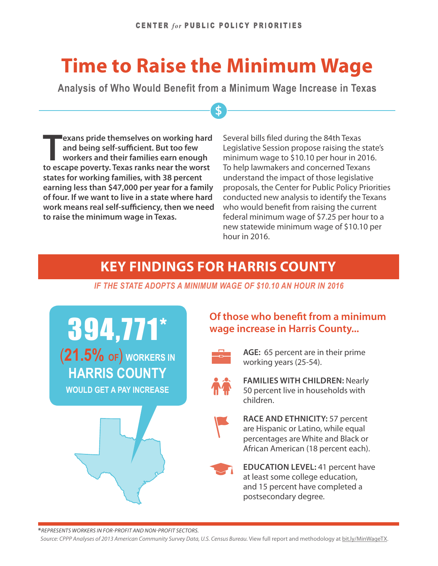# **Time to Raise the Minimum Wage**

**Analysis of Who Would Benefit from a Minimum Wage Increase in Texas**

 $\overline{\mathbf{S}}$ 

**Texans pride themselves on working hard and being self-sufficient. But too few workers and their families earn enough to escape poverty. Texas ranks near the worst states for working families, with 38 percent earning less than \$47,000 per year for a family of four. If we want to live in a state where hard work means real self-sufficiency, then we need to raise the minimum wage in Texas.**

Several bills filed during the 84th Texas Legislative Session propose raising the state's minimum wage to \$10.10 per hour in 2016. To help lawmakers and concerned Texans understand the impact of those legislative proposals, the Center for Public Policy Priorities conducted new analysis to identify the Texans who would benefit from raising the current federal minimum wage of \$7.25 per hour to a new statewide minimum wage of \$10.10 per hour in 2016.

### **KEY FINDINGS FOR HARRIS COUNTY**

*IF THE STATE ADOPTS A MINIMUM WAGE OF \$10.10 AN HOUR IN 2016*

394,771\* (**21.5% OF**) **WORKERS IN HARRIS COUNTY WOULD GET A PAY INCREASE**



#### **Of those who benefit from a minimum wage increase in Harris County...**



**AGE:** 65 percent are in their prime working years (25-54).



**FAMILIES WITH CHILDREN:** Nearly 50 percent live in households with children.



**RACE AND ETHNICITY:** 57 percent are Hispanic or Latino, while equal percentages are White and Black or African American (18 percent each).



**EDUCATION LEVEL:** 41 percent have at least some college education, and 15 percent have completed a postsecondary degree.

Source: CPPP Analyses of 2013 American Community Survey Data, U.S. Census Bureau. View full report and methodology at [bit.ly/MinWageTX](http://bit.ly/MinWageTX).